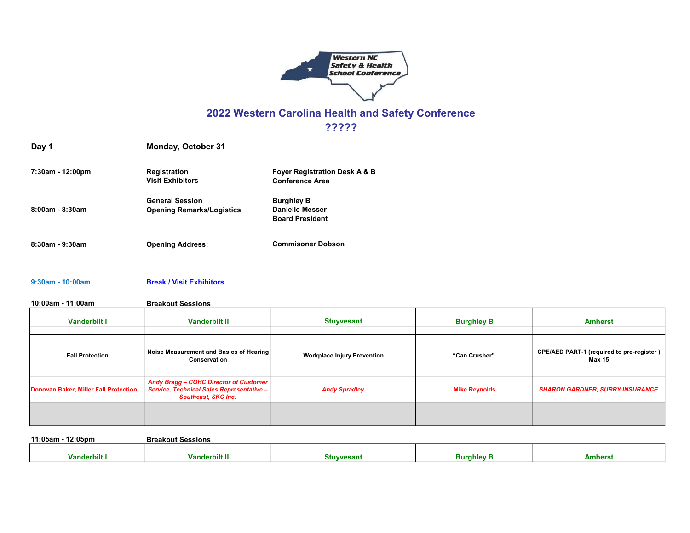

# 2022 Western Carolina Health and Safety Conference

?????

| 7:30am - 12:00pm      | <b>Registration</b>              | <b>Fover Registration Desk A &amp; B</b> |
|-----------------------|----------------------------------|------------------------------------------|
|                       | <b>Visit Exhibitors</b>          | <b>Conference Area</b>                   |
|                       | <b>General Session</b>           | <b>Burghley B</b>                        |
| $8:00$ am - $8:30$ am | <b>Opening Remarks/Logistics</b> | <b>Danielle Messer</b>                   |
|                       |                                  | <b>Board President</b>                   |
| $8:30$ am - $9:30$ am | <b>Opening Address:</b>          | <b>Commisoner Dobson</b>                 |

#### 9:30am - 10:00am Break / Visit Exhibitors

Day 1 Monday, October 31

10:00am - 11:00am Breakout Sessions

| <b>Vanderbilt I</b>                   | <b>Vanderbilt II</b>                                                                                                     | <b>Stuyvesant</b>                  | <b>Burghley B</b>    | <b>Amherst</b>                                      |
|---------------------------------------|--------------------------------------------------------------------------------------------------------------------------|------------------------------------|----------------------|-----------------------------------------------------|
| <b>Fall Protection</b>                | Noise Measurement and Basics of Hearing<br>Conservation                                                                  | <b>Workplace Injury Prevention</b> | "Can Crusher"        | CPE/AED PART-1 (required to pre-register)<br>Max 15 |
| Donovan Baker, Miller Fall Protection | <b>Andy Bragg - COHC Director of Customer</b><br>Service, Technical Sales Representative -<br><b>Southeast, SKC Inc.</b> | <b>Andy Spradley</b>               | <b>Mike Reynolds</b> | <b>SHARON GARDNER, SURRY INSURANCE</b>              |
|                                       |                                                                                                                          |                                    |                      |                                                     |

11:05am - 12:05pm Breakout Sessions Vanderbilt I Vanderbilt II Stuyvesant Burghley B Amherst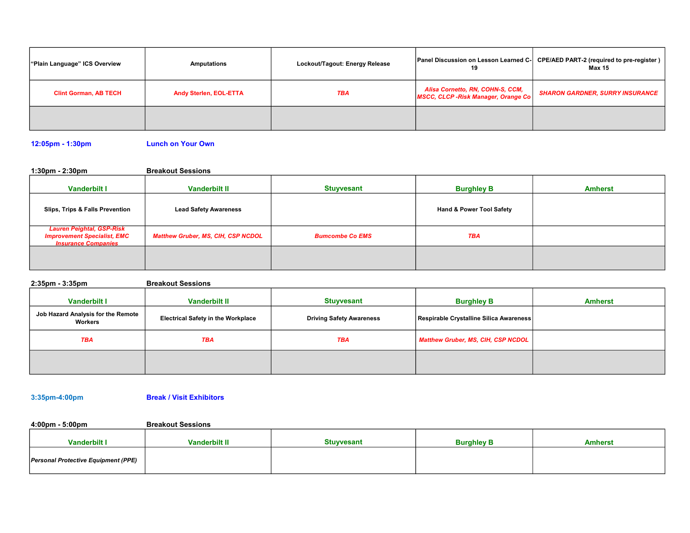| "Plain Language" ICS Overview | Amputations                   | Lockout/Tagout: Energy Release | Panel Discussion on Lesson Learned C-<br>19                            | CPE/AED PART-2 (required to pre-register)<br>Max 15 |
|-------------------------------|-------------------------------|--------------------------------|------------------------------------------------------------------------|-----------------------------------------------------|
| <b>Clint Gorman, AB TECH</b>  | <b>Andy Sterlen, EOL-ETTA</b> | <b>TBA</b>                     | Alisa Cornetto, RN, COHN-S, CCM,<br>MSCC, CLCP-Risk Manager, Orange Co | <b>SHARON GARDNER, SURRY INSURANCE</b>              |
|                               |                               |                                |                                                                        |                                                     |

12:05pm - 1:30pm Lunch on Your Own

1:30pm - 2:30pm Breakout Sessions

| <b>Vanderbilt I</b>                                                                                  | <b>Vanderbilt II</b>                      | <b>Stuyvesant</b>      | <b>Burghley B</b>                   | <b>Amherst</b> |
|------------------------------------------------------------------------------------------------------|-------------------------------------------|------------------------|-------------------------------------|----------------|
| Slips, Trips & Falls Prevention                                                                      | <b>Lead Safety Awareness</b>              |                        | <b>Hand &amp; Power Tool Safety</b> |                |
| <b>Lauren Peightal, GSP-Risk</b><br><b>Improvement Specialist, EMC</b><br><b>Insurance Companies</b> | <b>Matthew Gruber, MS, CIH, CSP NCDOL</b> | <b>Bumcombe Co EMS</b> | <b>TBA</b>                          |                |
|                                                                                                      |                                           |                        |                                     |                |

2:35pm - 3:35pm Breakout Sessions

| <b>Vanderbilt I</b>                           | <b>Vanderbilt II</b>                      | <b>Stuyvesant</b>               | <b>Burghley B</b>                       | <b>Amherst</b> |
|-----------------------------------------------|-------------------------------------------|---------------------------------|-----------------------------------------|----------------|
| Job Hazard Analysis for the Remote<br>Workers | <b>Electrical Safety in the Workplace</b> | <b>Driving Safety Awareness</b> | Respirable Crystalline Silica Awareness |                |
| <b>TBA</b>                                    | <b>TBA</b>                                | <b>TBA</b>                      | Matthew Gruber, MS, CIH, CSP NCDOL      |                |
|                                               |                                           |                                 |                                         |                |

3:35pm-4:00pm Break / Visit Exhibitors

4:00pm - 5:00pm Breakout Sessions

| <b>Vanderbilt I</b>                        | <b>Vanderbilt II</b> | <b>Stuvyesant</b> | <b>Burahlev B</b> | <b>Amhers</b> |
|--------------------------------------------|----------------------|-------------------|-------------------|---------------|
| <b>Personal Protective Equipment (PPE)</b> |                      |                   |                   |               |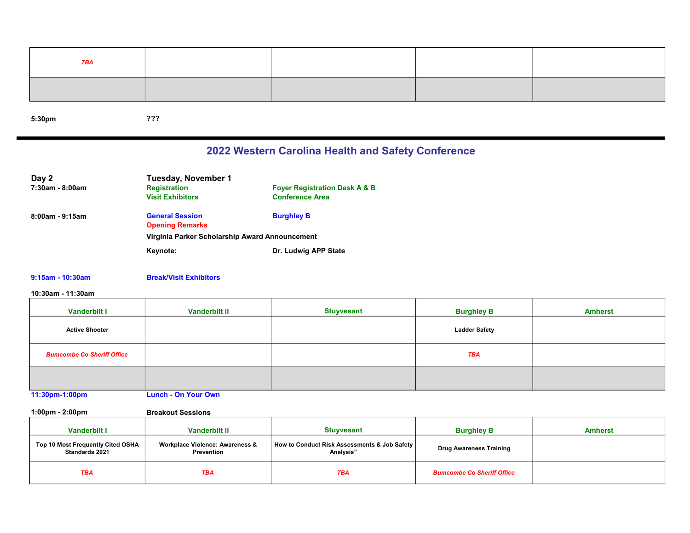| <b>TBA</b> |  |  |
|------------|--|--|
|            |  |  |

5:30pm

???

## 2022 Western Carolina Health and Safety Conference

| Day 2              | Tuesday, November 1                            |                                          |
|--------------------|------------------------------------------------|------------------------------------------|
| 7:30am - 8:00am    | <b>Registration</b>                            | <b>Fover Registration Desk A &amp; B</b> |
|                    | <b>Visit Exhibitors</b>                        | <b>Conference Area</b>                   |
| $8:00$ am - 9:15am | <b>General Session</b>                         | <b>Burghley B</b>                        |
|                    | <b>Opening Remarks</b>                         |                                          |
|                    | Virginia Parker Scholarship Award Announcement |                                          |
|                    | Keynote:                                       | Dr. Ludwig APP State                     |

### 9:15am - 10:30am Break/Visit Exhibitors

### 10:30am - 11:30am

| <b>Vanderbilt I</b>               | <b>Vanderbilt II</b>       | <b>Stuyvesant</b> | <b>Burghley B</b>    | <b>Amherst</b> |
|-----------------------------------|----------------------------|-------------------|----------------------|----------------|
| <b>Active Shooter</b>             |                            |                   | <b>Ladder Safety</b> |                |
| <b>Bumcombe Co Sheriff Office</b> |                            |                   | <b>TBA</b>           |                |
|                                   |                            |                   |                      |                |
| 11:30pm-1:00pm                    | <b>Lunch - On Your Own</b> |                   |                      |                |

1:00pm - 2:00pm Breakout Sessions

| <b>Vanderbilt I</b>                                        | <b>Vanderbilt II</b>                                     | <b>Stuvyesant</b>                                           | <b>Burghley B</b>                 | <b>Amherst</b> |
|------------------------------------------------------------|----------------------------------------------------------|-------------------------------------------------------------|-----------------------------------|----------------|
| Top 10 Most Frequently Cited OSHA<br><b>Standards 2021</b> | <b>Workplace Violence: Awareness &amp;</b><br>Prevention | How to Conduct Risk Assessments & Job Safety  <br>Analysis" | <b>Drug Awareness Training</b>    |                |
| <b>TBA</b>                                                 | TBA                                                      | <b>TBA</b>                                                  | <b>Bumcombe Co Sheriff Office</b> |                |